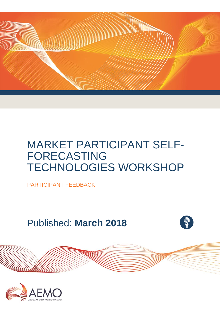

PARTICIPANT FEEDBACK

Published: **March 2018**



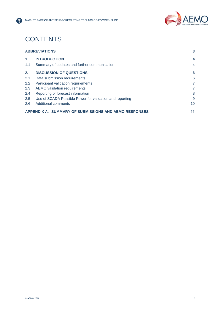

## **CONTENTS**

8

| <b>ABBREVIATIONS</b> | $\mathbf{3}$                                             |                |
|----------------------|----------------------------------------------------------|----------------|
| $\mathbf{1}$ .       | <b>INTRODUCTION</b>                                      | 4              |
| 1.1                  | Summary of updates and further communication             | $\overline{4}$ |
| 2.                   | <b>DISCUSSION OF QUESTIONS</b>                           | 6              |
| 2.1                  | Data submission requirements                             | 6              |
| 2.2                  | Participant validation requirements                      | 7              |
| 2.3                  | AEMO validation requirements                             | 7              |
| 2.4                  | Reporting of forecast information                        | 8              |
| 2.5                  | Use of SCADA Possible Power for validation and reporting | 9              |
| 2.6                  | Additional comments                                      | 10             |
|                      | APPENDIX A. SUMMARY OF SUBMISSIONS AND AEMO RESPONSES    | 11             |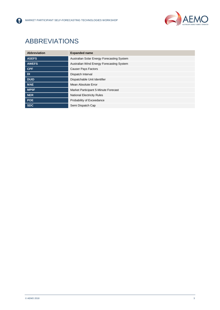

## <span id="page-2-0"></span>ABBREVIATIONS

8

| <b>Abbreviation</b> | <b>Expanded name</b>                       |
|---------------------|--------------------------------------------|
| <b>ASEFS</b>        | Australian Solar Energy Forecasting System |
| <b>AWEFS</b>        | Australian Wind Energy Forecasting System  |
| <b>CPF</b>          | <b>Causer Pays Factors</b>                 |
| <b>DI</b>           | Dispatch Interval                          |
| <b>DUID</b>         | Dispatchable Unit Identifier               |
| <b>MAE</b>          | Mean Absolute Error                        |
| MP5F                | Market Participant 5-Minute Forecast       |
| <b>NER</b>          | <b>National Electricity Rules</b>          |
| <b>POE</b>          | Probability of Exceedance                  |
| <b>SDC</b>          | Semi Dispatch Cap                          |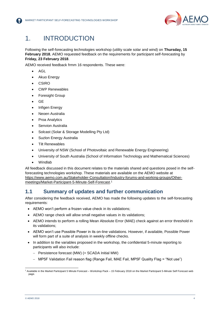

## <span id="page-3-0"></span>1. INTRODUCTION

Following the self-forecasting technologies workshop (utility scale solar and wind) on **Thursday, 15 February 2018**, AEMO requested feedback on the requirements for participant self-forecasting by **Friday, 23 February 2018**.

AEMO received feedback frmm 16 respondents. These were:

- AGL
- Akuo Energy
- **CSIRO**
- CWP Renewables
- Foresight Group
- $\bullet$  GE
- Infigen Energy
- Neoen Australia
- Proa Analytics
- Senvion Australia
- Solcast (Solar & Storage Modelling Pty Ltd)
- Suzlon Energy Australia
- Tilt Renewables
- University of NSW (School of Photovoltaic and Renewable Energy Engineering)
- University of South Australia (School of Information Technology and Mathematical Sciences)
- Windlab

All feedback discussed in this document relates to the materials shared and questions posed in the selfforecasting technologies workshop. These materials are available on the AEMO website at [https://www.aemo.com.au/Stakeholder-Consultation/Industry-forums-and-working-groups/Other](https://www.aemo.com.au/Stakeholder-Consultation/Industry-forums-and-working-groups/Other-meetings/Market-Participant-5-Minute-Self-Forecast)[meetings/Market-Participant-5-Minute-Self-Forecast.](https://www.aemo.com.au/Stakeholder-Consultation/Industry-forums-and-working-groups/Other-meetings/Market-Participant-5-Minute-Self-Forecast) 1

### <span id="page-3-1"></span>**1.1 Summary of updates and further communication**

After considering the feedback received, AEMO has made the following updates to the self-forecasting requirements:

- AEMO won't perform a frozen value check in its validations;
- AEMO range check will allow small negative values in its validations;
- AEMO intends to perform a rolling Mean Absolute Error (MAE) check against an error threshold in its validations;
- AEMO won't use Possible Power in its on-line validations. However, if available, Possible Power will form part of a suite of analysis in weekly offline checks.
- In addition to the variables proposed in the workshop, the confidential 5-minute reporting to participants will also include:
	- Persistence forecast (MW) (= SCADA Initial MW)
	- MP5F Validation Fail reason flag (Range Fail, MAE Fail, MP5F Quality Flag = "Not use")

l <sup>1</sup> Available in the Market Participant 5 Minute Forecast – Workshop Pack – 15 February 2018 on the Market Participant 5-Minute Self Forecast web page.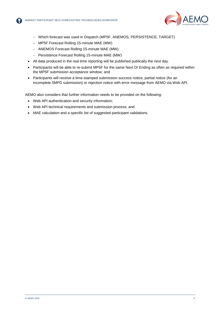

- Which forecast was used in Dispatch (MP5F, ANEMOS, PERSISTENCE, TARGET)
- MP5F Forecast Rolling 15-minute MAE (MW)
- ANEMOS Forecast Rolling 15-minute MAE (MW)
- Persistence Forecast Rolling 15-minute MAE (MW)
- All data produced in the real time reporting will be published publically the next day.
- Participants will be able to re-submit MP5F for the same Next DI Ending as often as required within the MP5F submission acceptance window; and
- Participants will receive a time-stamped submission success notice, partial notice (for an incomplete 5MPD submission) or rejection notice with error message from AEMO via Web API.

AEMO also considers that further information needs to be provided on the following:

- Web API authentication and security information;
- Web API technical requirements and submission process; and
- MAE calculation and a specific list of suggested participant validations.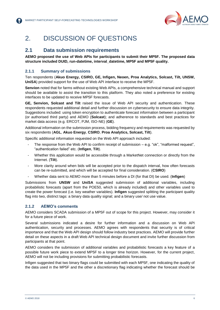

## <span id="page-5-0"></span>2. DISCUSSION OF QUESTIONS

## <span id="page-5-1"></span>**2.1 Data submission requirements**

**AEMO proposed the use of Web APIs for participants to submit their MP5F. The proposed data structure included DUID, run-datetime, interval\_datetime, MP5F and MP5F quality.** 

#### **2.1.1 Summary of submissions**

Ten respondents (**Akuo Energy, CSIRO, GE, Infigen, Neoen, Proa Analytics, Solcast, Tilt, UNSW, UniSA**) provided support for the use of Web API interface to receive the MP5F.

**Senvion** noted that for farms without existing Web APIs, a comprehensive technical manual and support should be available to assist the transition to this platform. They also noted a preference for existing interfaces to be updated to receive MP5F forecasts.

**GE, Senvion, Solcast and Tilt** raised the issue of Web API security and authentication. These respondents requested additional detail and further discussion on cybersecurity to ensure data integrity. Suggestions included: using token encryption to authenticate forecast information between a participant (or authorised third party) and AEMO (**Solcast**); and adherence to standards and best practices for market data access (e.g. ERCOT, PJM, ISO-NE) (**GE**).

Additional information on the submission process, bidding frequency and requirements was requested by six respondents (**AGL**, **Akuo Energy**, **CSIRO**, **Proa Analytics, Solcast, Tilt**).

Specific additional information requested on the Web API approach included:

- The response from the Web API to confirm receipt of submission  $e \cdot a$ . "ok", "malformed request", "authentication failed" etc. (**Infigen**, **Tilt**).
- Whether this application would be accessible through a MarketNet connection or directly from the Internet. (**Tilt**).
- More clarity around when bids will be accepted prior to the dispatch interval, how often forecasts can be re-submitted, and which will be accepted for final consideration. (**CSIRO**)
- Whether data sent to AEMO more than 5 minutes before a DI (for that DI) be used. (**Infigen**)

Submissions from **UNSW** and **UniSA** suggested submission of additional variables, including probabilistic forecasts (apart from the POE50, which is already included) and other variables used to create the power forecast (i.e. key weather variables). **Infigen** suggested splitting the participant quality flag into two, distinct tags: a binary data quality signal; and a binary use/ not use value.

#### **2.1.2 AEMO's comments**

AEMO considers SCADA submission of a MP5F out of scope for this project. However, may consider it for a future piece of work.

Several submissions indicated a desire for further information and a discussion on Web API authentication, security and processes. AEMO agrees with respondents that security is of critical importance and that the Web API design should follow industry best practices. AEMO will provide further detail on these aspects in a draft Web API technical design document and invite further discussion from participants at that point.

AEMO considers the submission of additional variables and probabilistic forecasts a key feature of a possible future work piece to extend MP5F to a longer time horizon. However, for the current project, AEMO will not be including provisions for submitting probabilistic forecasts.

Infigen suggested that two binary flags could be submitted with each MP5F, one indicating the quality of the data used in the MP5F and the other a discretionary flag indicating whether the forecast should be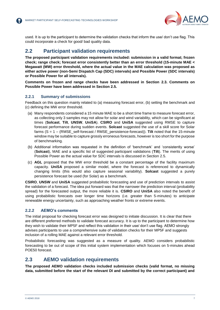

used. It is up to the participant to determine the validation checks that inform the use/ don't use flag. This could incorporate a check for good/ bad quality data.

## <span id="page-6-0"></span>**2.2 Participant validation requirements**

**The proposed participant validation requirements included: submission in a valid format; frozen check; range check; forecast error consistently better than an error threshold (15-minute MAE < Megawatt (MW) error threshold, where the actual value in the MAE calculation was proposed as either active power (non-Semi Dispatch Cap (SDC) intervals) and Possible Power (SDC intervals) or Possible Power for all intervals).**

**Comments on frozen and range checks have been addressed in Section [2.3.](#page-6-1) Comments on Possible Power have been addressed in Section [2.5.](#page-8-0)** 

#### **2.2.1 Summary of submissions**

Feedback on this question mainly related to (a) measuring forecast error, (b) setting the benchmark and (c) defining the MW error threshold.

- (a) Many respondents considered a 15 minute MAE to be a short time frame to measure forecast error, as collecting only 3 samples may not allow for solar and wind variability, which can be significant at times (**Solcast**, **Tilt**, **UNSW**, **UniSA**). **CSIRO** and **UniSA** suggested using RMSE to capture forecast performance during sudden events. **Solcast** suggested the use of a skill score for Solar farms (S = 1 – (RMSE\_self-forecast / RMSE\_persistence-forecast)). **Tilt** noted that the 15-minute window may be suitable to capture grossly erroneous forecasts, however is too short for the purpose of benchmarking.
- (b) Additional information was requested in the definition of 'benchmark' and 'consistently worse' (**Solcast**), MAE and a specific list of suggested participant validations (**Tilt**). The merits of using Possible Power as the actual value for SDC intervals is discussed in Section 2.5.
- (c) **AGL** proposed that the MW error threshold be a constant percentage of the facility maximum capacity. **UniSA** proposed a similar model, where the forecast is referenced to dynamically changing limits (this would also capture seasonal variability). **Solcast** suggested a purely persistence forecast be used (for Solar) as a benchmark.

**CSIRO**, **UNSW** and **UniSA** suggested probabilistic forecasting and use of prediction intervals to assist the validation of a forecast. The idea put forward was that the narrower the prediction interval (probability spread) for the forecasted output, the more reliable it is. **CSIRO** and **UniSA** also noted the benefit of using probabilistic forecasts over longer time horizons (i.e. greater than 5-minutes) to anticipate renewable energy uncertainty, such as approaching weather fronts or extreme events.

#### <span id="page-6-2"></span>**2.2.2 AEMO's comments**

The initial proposal for checking forecast error was designed to initiate discussion. It is clear that there are different preferred methods to validate forecast accuracy. It is up to the participant to determine how they wish to validate their MP5F and reflect this validation in their use/ don't use flag. AEMO strongly advises participants to use a comprehensive suite of validation checks for their MP5F and suggests inclusion of a rolling MAE against a relevant error threshold.

Probabilistic forecasting was suggested as a measure of quality. AEMO considers probabilistic forecasting to be out of scope of this initial system implementation which focuses on 5-minutes ahead POE50 forecast.

## <span id="page-6-1"></span>**2.3 AEMO validation requirements**

**The proposed AEMO validation checks included submission checks (valid format, no missing data, submitted before the start of the relevant DI and submitted by the correct participant) and**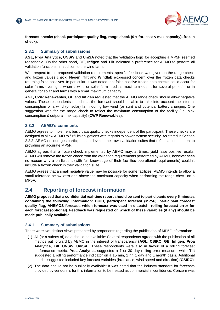

**forecast checks (check participant quality flag, range check (0 < forecast < max capacity), frozen check).** 

#### **2.3.1 Summary of submissions**

**AGL, Proa Analytics, UNSW** and **UniSA** noted that the validation logic for accepting a MP5F seemed reasonable. On the other hand, **GE**, **Infigen** and **Tilt** indicated a preference for AEMO to perform all validation functions, in addition to the wind farm.

With respect to the proposed validation requirements, specific feedback was given on the range check and frozen values check. **Neoen**, **Tilt** and **Windlab** expressed concern over the frozen data checks returning false positives. In particular, it was noted that false positive frozen data checks could occur for solar farms overnight; when a wind or solar farm predicts maximum output for several periods; or in general for solar and farms with a small maximum capacity.

**AGL, CWP Renewables**, **GE** and **Infigen** requested that the AEMO range check should allow negative values. These respondents noted that the forecast should be able to take into account the internal consumption of a wind (or solar) farm during low wind (or sun) and potential battery charging. One suggestion was for the range check to reflect the maximum consumption of the facility (i.e. Max consumption ≤ output ≤ max capacity) (**CWP Renewables**).

#### **2.3.2 AEMO's comments**

AEMO agrees to implement basic data quality checks independent of the participant. These checks are designed to allow AEMO to fulfil its obligations with regards to power system security. As stated in Section [2.2.2,](#page-6-2) AEMO encourages participants to develop their own validation suites that reflect a commitment to providing an accurate MP5F.

AEMO agrees that a frozen check implemented by AEMO may, at times, yield false positive results. AEMO will remove the frozen check from the validation requirements performed by AEMO, however sees no reason why a participant (with full knowledge of their facilities operational requirements) couldn't include a frozen check in their validation suite.

AEMO agrees that a small negative value may be possible for some facilities. AEMO intends to allow a small tolerance below zero and above the maximum capacity when performing the range check on a MP5F.

### <span id="page-7-0"></span>**2.4 Reporting of forecast information**

**AEMO proposed that a confidential real-time report should be sent to participants every 5 minutes containing the following information: DUID, participant forecast (MP5F), participant forecast quality flag, ANEMOS forecast, which forecast was used in dispatch, rolling forecast error for each forecast (optional). Feedback was requested on which of these variables (if any) should be made publically available.** 

#### **2.4.1 Summary of submissions**

There were two distinct views presented by proponents regarding the publication of MP5F information:

- (1) All (or a subset of) data should be available: Several respondents agreed with the publication of all metrics put forward by AEMO in the interest of transparency (**AGL**, **CSIRO**, **GE**, **Infigen**, **Proa Analytics**, **Tilt, UNSW**, **UniSA**). These respondents were also in favour of a rolling forecast performance metric. **Proa Analytics** suggested a 7 or 30 day rolling error measure, while **Tilt** suggested a rolling performance indicator on a 15 min, 1 hr, 1 day and 1 month basis. Additional metrics suggested included key forecast variables (irradiance, wind speed and direction) (**CSIRO**).
- (2) The data should not be publically available: It was noted that the industry standard for forecasts provided by vendors is for this information to be treated as commercial in confidence. Concern was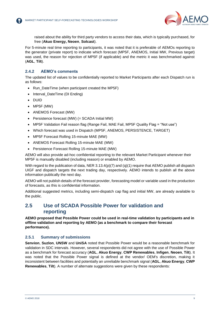

raised about the ability for third party vendors to access their data, which is typically purchased, for free (**Akuo Energy, Neoen**, **Solcast**).

For 5-minute real time reporting to participants, it was noted that it is preferable of AEMOs reporting to the generator (private report) to indicate which forecast (MP5F, ANEMOS, Initial MW, Previous target) was used, the reason for rejection of MP5F (if applicable) and the metric it was benchmarked against (**AGL**, **Tilt**).

#### **2.4.2 AEMO's comments**

The updated list of values to be confidentially reported to Market Participants after each Dispatch run is as follows:

- Run\_DateTime (when participant created the MP5F)
- Interval DateTime (DI Ending)
- DUID
- MP5F (MW)
- ANEMOS Forecast (MW)
- Persistence forecast (MW) (= SCADA Initial MW)
- MP5F Validation Fail reason flag (Range Fail, MAE Fail, MP5F Quality Flag = "Not use")
- Which forecast was used in Dispatch (MP5F, ANEMOS, PERSISTENCE, TARGET)
- MP5F Forecast Rolling 15-minute MAE (MW)
- ANEMOS Forecast Rolling 15-minute MAE (MW)
- Persistence Forecast Rolling 15-minute MAE (MW)

AEMO will also provide ad-hoc confidential reporting to the relevant Market Participant whenever their MP5F is manually disabled (including reason) or enabled by AEMO.

With regard to the publication of data, NER  $3.13.4(p)(7)$  and (q)(1) require that AEMO publish all dispatch UIGF and dispatch targets the next trading day, respectively. AEMO intends to publish all the above information publically the next day.

AEMO will not publish details of the forecast provider, forecasting model or variable used in the production of forecasts, as this is confidential information.

Additional suggested metrics, including semi-dispatch cap flag and initial MW, are already available to the public.

## <span id="page-8-0"></span>**2.5 Use of SCADA Possible Power for validation and reporting**

**AEMO proposed that Possible Power could be used in real-time validation by participants and in offline validation and reporting by AEMO (as a benchmark to compare their forecast performance).** 

#### **2.5.1 Summary of submissions**

**Senvion**, **Suzlon**, **UNSW** and **UniSA** noted that Possible Power would be a reasonable benchmark for validation in SDC intervals. However, several respondents did not agree with the use of Possible Power as a benchmark for forecast accuracy (**AGL**, **Akuo Energy**, **CWP Renewables**, **Infigen**, **Neoen**, **Tilt**). It was noted that the Possible Power signal is defined at the vendor/ OEM's discretion, making it inconsistent between facilities and potentially an unreliable benchmark signal (**AGL**, **Akuo Energy**, **CWP Renewables**, **Tilt**). A number of alternate suggestions were given by these respondents: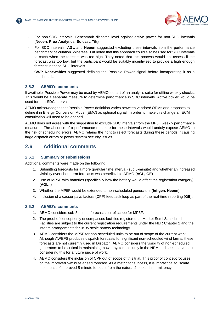

- For non-SDC intervals: Benchmark dispatch level against active power for non-SDC intervals (**Neoen**, **Proa Analytics**, **Solcast**, **Tilt**).
- For SDC intervals: **AGL** and **Neoen** suggested excluding these intervals from the performance benchmark calculation. Whereas, **Tilt** noted that this approach could also be used for SDC intervals to catch when the forecast was too high. They noted that this process would not assess if the forecast was too low, but the participant would be suitably incentivised to provide a high enough forecast in these SDC intervals.
- **CWP Renewables** suggested defining the Possible Power signal before incorporating it as a benchmark.

#### **2.5.2 AEMO's comments**

If available, Possible Power may be used by AEMO as part of an analysis suite for offline weekly checks. This would be a separate measure to determine performance in SDC intervals. Active power would be used for non-SDC intervals.

AEMO acknowledges that Possible Power definition varies between vendors/ OEMs and proposes to define it in Energy Conversion Model (EMC) as optional signal. In order to make this change an ECM consultation will need to be opened.

AEMO does not agree with the suggestion to exclude SDC intervals from the MP5F weekly performance measures. The absence of a performance measure for these intervals would unduly expose AEMO to the risk of scheduling errors. AEMO retains the right to reject forecasts during these periods if causing large dispatch errors or power system security issues.

### <span id="page-9-0"></span>**2.6 Additional comments**

#### **2.6.1 Summary of submissions**

Additional comments were made on the following:

- 1. Submitting forecasts for a more granular time interval (sub 5-minute) and whether an increased visibility over short term forecasts was beneficial to AEMO (**AGL, GE**).
- 2. Use of MP5F with batteries (specifically how the battery would affect the registration category). (**AGL**, )
- 3. Whether the MP5F would be extended to non-scheduled generators (**Infigen**, **Neoen**).
- 4. Inclusion of a causer pays factors (CPF) feedback loop as part of the real-time reporting (**GE**).

#### **2.6.2 AEMO's comments**

- 1. AEMO considers sub-5 minute forecasts out of scope for MP5F.
- 2. The proof of concept only encompasses facilities registered as Market Semi Scheduled. Facilities are subject to the current registration requirements under the NER Chapter 2 and the [interim arrangements for utility scale battery technology.](https://www.aemo.com.au/Electricity/National-Electricity-Market-NEM/Participant-information/New-participants/Interim-arrangements-Utility-Scale-Battery-Technology)
- 3. AEMO considers the MP5F for non-scheduled units to be out of scope of the current work. Although AWEFS produces dispatch forecasts for significant non-scheduled wind farms, these forecasts are not currently used in Dispatch. AEMO considers the visibility of non-scheduled generators to be critical in maintaining power system security in the NEM and sees the value in considering this for a future piece of work.
- 4. AEMO considers the inclusion of CPF out of scope of this trial. This proof of concept focuses on the improved 5-minute ahead forecast. As a metric for success, it is impractical to isolate the impact of improved 5-minute forecast from the natural 4-second intermittency.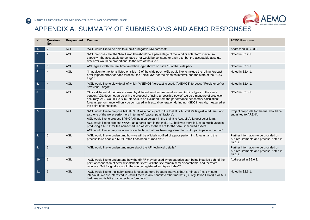

# APPENDIX A. SUMMARY OF SUBMISSIONS AND AEMO RESPONSES

<span id="page-10-0"></span>

| No.            | Question<br>No. | Respondent | <b>Comment</b>                                                                                                                                                                                                                                                                                                                                                                                                                                                                                                                                                                                                         | <b>AEMO Response</b>                                                                                    |
|----------------|-----------------|------------|------------------------------------------------------------------------------------------------------------------------------------------------------------------------------------------------------------------------------------------------------------------------------------------------------------------------------------------------------------------------------------------------------------------------------------------------------------------------------------------------------------------------------------------------------------------------------------------------------------------------|---------------------------------------------------------------------------------------------------------|
| $\mathbf{1}$ . | $\overline{2}$  | <b>AGL</b> | "AGL would like to be able to submit a negative MW forecast"                                                                                                                                                                                                                                                                                                                                                                                                                                                                                                                                                           | Addressed in S2.3.2.                                                                                    |
| 2.             | 2               | <b>AGL</b> | "AGL proposes that the "MW Error Threshold" be a percentage of the wind or solar farm maximum<br>capacity. The acceptable percentage error would be constant for each site, but the acceptable absolute<br>MW error would be proportional to the size of the site."                                                                                                                                                                                                                                                                                                                                                    | Noted in S2.2.1.                                                                                        |
| 3.             | 3               | AGL        | AGL agrees with the real time validation logic shown on slide 18 of the slide pack.                                                                                                                                                                                                                                                                                                                                                                                                                                                                                                                                    | Noted in S2.3.1.                                                                                        |
| 4.             | 4               | <b>AGL</b> | "In addition to the items listed on slide 19 of the slide pack, AGL would like to include the rolling forecast<br>error (signed error) for each forecast, the "initial MW" for the dispatch interval, and the state of the "SDC<br>flag"."                                                                                                                                                                                                                                                                                                                                                                             | Noted in S2.4.1.                                                                                        |
| 5.             | 4               | <b>AGL</b> | "AGL would like to view detail of which "ANEMOS" forecast is used: "ANEMOS" forecast, "Persistence" or<br>"Previous Target"."                                                                                                                                                                                                                                                                                                                                                                                                                                                                                          | Noted in S2.4.1.                                                                                        |
| 6.             | 5               | <b>AGL</b> | "Since different algorithms are used by different wind turbine vendors, and turbine types of the same<br>vendor, AGL does not agree with the proposal of using a "possible power" tag as a measure of prediction<br>accuracy. AGL would like SDC intervals to be excluded from the performance benchmark calculation;<br>forecast performance will only be compared with actual generation during non-SDC intervals, measured at<br>the point of connection."                                                                                                                                                          | Noted in S2.5.1.                                                                                        |
| 7.             | 6               | <b>AGL</b> | "AGL would like to propose MACARTH1 as a participant in the trial. It is Australia's largest wind farm, and<br>also one of the worst performers in terms of "causer pays" factors".<br>AGL would like to propose NYNGAN1 as a participant in the trial. It is Australia's largest solar farm.<br>AGL would like to propose WPWF as a participant in the trial. AGL believes there is just as much value in<br>producing a MP5F for the non-scheduled assets as there are for the semi-scheduled assets.<br>AGL would like to propose a wind or solar farm that has been registered for FCAS participate in the trial." | Project proposals for the trial should be<br>submitted to ARENA.                                        |
| 8.             | 6               | <b>AGL</b> | "AGL would like to understand how we will be officially notified of a poor performing forecast and the<br>process to re-enable a MP5F after it has been "turned off"."                                                                                                                                                                                                                                                                                                                                                                                                                                                 | Further information to be provided on<br>API requirements and process, noted in<br>S2.1.2.              |
| 9.             | 6               | <b>AGL</b> | "AGL would like to understand more about the API technical details."                                                                                                                                                                                                                                                                                                                                                                                                                                                                                                                                                   | Further information to be provided on<br>API requirements and process, noted in<br>S <sub>2.1.2</sub> . |
| 10.            | 6               | <b>AGL</b> | "AGL would like to understand how the 5MPF may be used when batteries start being installed behind the<br>point of connection of semi-dispatchable sites? Will the site remain semi-dispatchable, and therefore<br>require a 5MPF signal, or would the site be registered as dispatchable?"                                                                                                                                                                                                                                                                                                                            | Addressed in S2.6.2.                                                                                    |
| 11.            | 6               | <b>AGL</b> | "AGL would like to trial submitting a forecast at more frequent intervals than 5-minutes (i.e. 1 minute<br>intervals). We are interested to know if there is any benefit to other markets (i.e. regulation FCAS) if AEMO<br>had greater visibility of shorter term forecasts."                                                                                                                                                                                                                                                                                                                                         | Noted in S2.6.1.                                                                                        |

2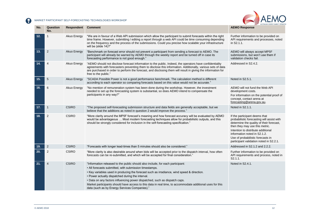

| No. | Question<br>No. | Respondent   | <b>Comment</b>                                                                                                                                                                                                                                                                                                                                                                                                                                                                                                                         | <b>AEMO Response</b>                                                                                                                                                                                                                                                                                            |
|-----|-----------------|--------------|----------------------------------------------------------------------------------------------------------------------------------------------------------------------------------------------------------------------------------------------------------------------------------------------------------------------------------------------------------------------------------------------------------------------------------------------------------------------------------------------------------------------------------------|-----------------------------------------------------------------------------------------------------------------------------------------------------------------------------------------------------------------------------------------------------------------------------------------------------------------|
| 12. | 1               | Akuo Energy  | "We are in favour of a Web API submission which allow the participant to submit forecasts within the right<br>time frame. However, submitting / editing a report through a web API could be time consuming depending<br>on the frequency and the process of the submissions. Could you precise how scalable your infrastructure<br>will be (slide 14)?"                                                                                                                                                                                | Further information to be provided on<br>API requirements and processes, noted<br>in S2.1.1.                                                                                                                                                                                                                    |
| 13. | 2               | Akuo Energy  | "Benchmark on forecast error should not prevent a participant from sending a forecast to AEMO. The<br>participant will already be warned by AEMO through the weekly report and be turned off in case its<br>forecasting performance is not good enough."                                                                                                                                                                                                                                                                               | AEMO will always accept MP5F<br>submissions, but won't use them if<br>validation checks fail.                                                                                                                                                                                                                   |
| 14. | $\overline{4}$  | Akuo Energy  | "AEMO should not disclose forecast information to the public. Indeed, the operators have confidentiality<br>agreements with forecasters preventing them to disclose this information. Additionally, various sets of data<br>are purchased in order to perform the forecast, and disclosing them will result in giving the information for<br>free to the public."                                                                                                                                                                      | Addressed in S2.4.2.                                                                                                                                                                                                                                                                                            |
| 15. | $\sqrt{5}$      | Akuo Energy  | "SCADA Possible Power is not a good performance benchmark. The calculation method is different<br>according to each operator so comparing forecasts based on this value would not be accurate."                                                                                                                                                                                                                                                                                                                                        | Noted in S2.5.1.                                                                                                                                                                                                                                                                                                |
| 16. | 6               | Akuo Energy  | "No mention of remuneration system has been done during the workshop. However, the investment<br>needed to set up the forecasting system is substantial, so does AEMO intend to compensate the<br>participants in any way?"                                                                                                                                                                                                                                                                                                            | AEMO will not fund the Web API<br>development costs.<br>For information on the potential proof of<br>concept, contact arena at<br>forecasting@arena.gov.au.                                                                                                                                                     |
| 17. | $\mathbf{1}$    | <b>CSIRO</b> | "The proposed self-forecasting submission structure and data fields are generally acceptable, but we<br>believe that the additions as noted in question 2 would improve the process."                                                                                                                                                                                                                                                                                                                                                  | Noted in S2.1.1.                                                                                                                                                                                                                                                                                                |
| 18. | 2               | <b>CSIRO</b> | "More clarity around the MP5F forecast's meaning and how forecast accuracy will be evaluated by AEMO<br>would be advantageous  Most modern forecasting techniques allow for probabilistic outputs, and this<br>should be strongly considered for inclusion in the self-forecasting specification."                                                                                                                                                                                                                                     | If the participant deems that<br>probabilistic forecasting will assist with<br>determine the quality of their forecast,<br>then they may use this metric.<br>Intention to distribute additional<br>information noted in S2.1.2.<br>Use of probabilistic forecasts in<br>participant validation noted in S2.2.1. |
| 19. | 2               | <b>CSIRO</b> | "Forecasts with longer lead-times than 5 minutes should also be considered."                                                                                                                                                                                                                                                                                                                                                                                                                                                           | Addressed in S2.1.2 and 2.2.2.                                                                                                                                                                                                                                                                                  |
| 20. | 2               | <b>CSIRO</b> | "More clarity is also desirable around when bids will be accepted prior to the dispatch interval, how often<br>forecasts can be re-submitted, and which will be accepted for final consideration."                                                                                                                                                                                                                                                                                                                                     | Further information to be provided on<br>API requirements and process, noted in<br>S2.1.1.                                                                                                                                                                                                                      |
| 21. | $\overline{4}$  | <b>CSIRO</b> | "Information released to the public should also include, for each participant:<br>• All forecasts submitted, with submission timestamps.<br>• Key variables used in producing the forecast such as irradiance, wind speed & direction.<br>• Power actually dispatched during the interval.<br>. Data on any factors influencing power dispatched, such as dispatch caps.<br>Market participants should have access to this data in real time, to accommodate additional uses for this<br>data (such as by Energy Services Companies)." | Noted in S2.4.1.                                                                                                                                                                                                                                                                                                |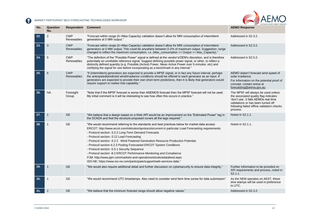



| No. | Question<br>No. | Respondent               | <b>Comment</b>                                                                                                                                                                                                                                                                                                                                                                                                                                                                                                                                                                                                                                                                                                                                  | <b>AEMO Response</b>                                                                                                                                                                                                  |
|-----|-----------------|--------------------------|-------------------------------------------------------------------------------------------------------------------------------------------------------------------------------------------------------------------------------------------------------------------------------------------------------------------------------------------------------------------------------------------------------------------------------------------------------------------------------------------------------------------------------------------------------------------------------------------------------------------------------------------------------------------------------------------------------------------------------------------------|-----------------------------------------------------------------------------------------------------------------------------------------------------------------------------------------------------------------------|
| 22. | $\overline{2}$  | <b>CWP</b><br>Renewables | "Forecast within range (0->Max Capacity) validation doesn't allow for MW consumption of intermittent<br>generators at 0 MW output."                                                                                                                                                                                                                                                                                                                                                                                                                                                                                                                                                                                                             | Addressed in S2.3.2.                                                                                                                                                                                                  |
| 23. | 3               | <b>CWP</b><br>Renewables | "Forecast within range (0->Max Capacity) validation doesn't allow for MW consumption of intermittent<br>generators at 0 MW output. This could be anywhere between 0-2% of maximum output. Suggestion: range<br>changed to reflect the maximum consumption, i.e. (Max_consumption =< Output =< Max_Capacity)."                                                                                                                                                                                                                                                                                                                                                                                                                                   | Addressed in S2.3.2.                                                                                                                                                                                                  |
| 24. | 5               | <b>CWP</b><br>Renewables | "The definition of the "Possible Power" signal is defined at the vendor's/OEM's discretion, and is therefore<br>potentially an unreliable reference signal. Suggest defining possible power signal, or other, to reflect a<br>distinctly defined quantity (e.g. Possible (Active) Power, Mean Active Power over 5-minutes, etc) and<br>certifying the signal for use before incorporating as a benchmark in any interval."                                                                                                                                                                                                                                                                                                                      | Addressed in S2.5.2.                                                                                                                                                                                                  |
| 25. | 6               | <b>CWP</b><br>Renewables | "If (intermittent) generators are expected to provide a MP5F signal, or in fact any future interval, perhaps<br>the anticipated/predicted wind/irradiance conditions should be offered to each generator as an input. If<br>generators are expected to provide their own short-term predictions, then it is likely that generators would<br>require support to realise that capability."                                                                                                                                                                                                                                                                                                                                                        | AEMO doesn't forecast wind speed of<br>solar irradiance.<br>For information on the potential proof of<br>concept, contact arena at<br>forecasting@arena.gov.au.                                                       |
| 26. | <b>NA</b>       | Foresight<br>Group       | "Note that if the MP5F forecast is worse than ANEMOS forecast then the MP5F forecast will not be used.<br>My initial comment is it will be interesting to see how often this occurs in practice."                                                                                                                                                                                                                                                                                                                                                                                                                                                                                                                                               | The MP5F will always be used unless<br>the associated quality flag indicates<br>'don't use', it fails AEMOs real time<br>validations or has been turned off<br>following failed offline validation checks<br>process. |
| 27. | 1               | <b>GE</b>                | "We believe that a design based on a Web API would be an improvement on the "Estimated Power" tag in<br>the SCADA and that the structure proposed covers all the tags required."                                                                                                                                                                                                                                                                                                                                                                                                                                                                                                                                                                | Noted in S2.1.1.                                                                                                                                                                                                      |
| 28. | 1               | <b>GE</b>                | "We would recommend referring to the standards and best practices below for market data access:<br>ERCOT: http://www.ercot.com/mktrules/nprotocols/current in particular Load Forecasting requirements:<br>- Protocol section -3.2.2 Long-Term Demand Forecasts<br>- Protocol section -3.12 Load Forecasting<br>- Protocol section -4.2.2 Wind Powered Generation Resource Production Potential.<br>- Protocol section-4.2.3 Posting Forecasted ERCOT System Conditions<br>- Protocol section -5.5.1 Security Sequence<br>- Protocol section -8.2 ERCOT Performance Monitoring and Compliance<br>PJM: http://www.pjm.com/markets-and-operations/etools/edatafeed.aspx<br>ISO-NE: https://www.iso-ne.com/participate/support/web-services-data." | Noted in S2.1.1.                                                                                                                                                                                                      |
| 29. | 1               | <b>GE</b>                | "We would also require additional detail and further discussion on cybersecurity to ensure data integrity."                                                                                                                                                                                                                                                                                                                                                                                                                                                                                                                                                                                                                                     | Further information to be provided on<br>API requirements and process, noted in<br>S2.1.1.                                                                                                                            |
| 30. | 1               | <b>GE</b>                | "We would recommend UTC timestamps. Also need to consider wind farm time zones for data submission"                                                                                                                                                                                                                                                                                                                                                                                                                                                                                                                                                                                                                                             | As the NEM operates on AEST, these<br>time stamps will be used in preference<br>to UTC.                                                                                                                               |
| 31. | $\overline{2}$  | <b>GE</b>                | "We believe that the minimum forecast range should allow negative values."                                                                                                                                                                                                                                                                                                                                                                                                                                                                                                                                                                                                                                                                      | Addressed in S2.3.2.                                                                                                                                                                                                  |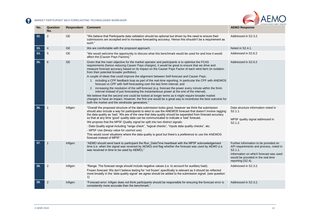

| No. | Question<br>No. | Respondent | <b>Comment</b>                                                                                                                                                                                                                                                                                                                                                                                                                                                                                                                                                                                                                                                                                                                                                                                                                                                                                                                                                                                                                                                                                                            | <b>AEMO Response</b>                                                                                                                                                                            |
|-----|-----------------|------------|---------------------------------------------------------------------------------------------------------------------------------------------------------------------------------------------------------------------------------------------------------------------------------------------------------------------------------------------------------------------------------------------------------------------------------------------------------------------------------------------------------------------------------------------------------------------------------------------------------------------------------------------------------------------------------------------------------------------------------------------------------------------------------------------------------------------------------------------------------------------------------------------------------------------------------------------------------------------------------------------------------------------------------------------------------------------------------------------------------------------------|-------------------------------------------------------------------------------------------------------------------------------------------------------------------------------------------------|
| 32. | $\overline{2}$  | <b>GE</b>  | "We believe that Participants data validation should be optional but driven by the need to ensure their<br>submissions are accepted and to increase forecasting accuracy. Hence this shouldn't be a requirement as<br>such."                                                                                                                                                                                                                                                                                                                                                                                                                                                                                                                                                                                                                                                                                                                                                                                                                                                                                              | Addressed in S2.3.2.                                                                                                                                                                            |
| 33. | 4               | <b>GE</b>  | We are comfortable with the proposed approach.                                                                                                                                                                                                                                                                                                                                                                                                                                                                                                                                                                                                                                                                                                                                                                                                                                                                                                                                                                                                                                                                            | Noted in S2.4.1.                                                                                                                                                                                |
| 34. | 5               | <b>GE</b>  | "We would welcome the opportunity to discuss what this benchmark would be used for and how it would<br>affect the [Causer Pays Factors]."                                                                                                                                                                                                                                                                                                                                                                                                                                                                                                                                                                                                                                                                                                                                                                                                                                                                                                                                                                                 | Addressed in S2.6.2                                                                                                                                                                             |
| 35. | 6               | <b>GE</b>  | Given that the main objective for the market operator and participants is to optimise the FCAS<br>requirements (hence reducing Causer Pays charges), it would be great to ensure that we drive and<br>measure forecast accuracy based on its impact on the Causer Pays Factor of each wind farm (in isolation<br>from their potential broader portfolios).<br>A couple of ideas that could improve the alignment between Self-forecast and Causer Pays:<br>1. including a CPF feedback loop as part of the real-time reporting. In particular the CPF with ANEMOS<br>forecast vs CPF with Self-forecasting over the last 5min interval; and<br>2. increasing the resolution of the self-forecast (e.g. forecast the power every minute within the 5min<br>interval instead of just forecasting the instantaneous power at the end of the interval).<br>We believe that the second one could be looked at longer terms as it might require broader market<br>changes to have an impact. However, the first one would be a great way to incentivise the best outcome for<br>both the market and the wind/solar generators." | Addressed in S2.6.2                                                                                                                                                                             |
| 36. | -1              | Infigen    | "Overall the proposed structure of the data submission looks good, however we think the submission<br>should also include a way for participants to elect to use the ANEMOS forecast that doesn't involve tagging<br>the data quality as 'bad.' We are of the view that data quality should be separated from forecast accuracy<br>so that at any time 'good' quality data can be communicated to indicate a 'bad' forecast.<br>We propose that the MP5F Quality signal be split into two distinct signals:<br>- Data Quality signal including "range check", "logical checks", "inputs data quality checks", etc.<br>- MP5F Use (binary value for use/not use)<br>This would cover situations where the data quality is good but there's a preference to use the ANEMOS<br>forecast instead of MP5F."                                                                                                                                                                                                                                                                                                                    | Data structure information noted in<br>S2.1.1.<br>MP5F quality signal addressed in<br>S2.1.2.                                                                                                   |
| 37. | $\mathbf 1$     | Infigen    | "AEMO should send back to participant the Run_DateTime heartbeat with the MP5F acknowledgement<br>time (i.e. when the signal was received by AEMO) and flag whether the forecast was used by AEMO (i.e.<br>was received in time to be used by AEMO)."                                                                                                                                                                                                                                                                                                                                                                                                                                                                                                                                                                                                                                                                                                                                                                                                                                                                     | Further information to be provided on<br>API requirements and process, noted in<br>S2.1.1.<br>Information on which forecast was used<br>would be provided in the real time<br>reporting (S2.4). |
| 38. | 2               | Infigen    | "Range: The forecast range should include negative values (i.e. to account for auxillary load).<br>Frozen forecast: We don't believe testing for 'not frozen' specifically is relevant as it should be reflected<br>more broadly in the 'data quality signal' we agree should be added to the submission signal. (see question<br>1)                                                                                                                                                                                                                                                                                                                                                                                                                                                                                                                                                                                                                                                                                                                                                                                      | Addressed in S2.3.2.                                                                                                                                                                            |
| 39. | $\overline{2}$  | Infigen    | "Forecast error: Infigen does not think participants should be responsible for ensuring the forecast error is<br>consistently more accurate than the benchmark."                                                                                                                                                                                                                                                                                                                                                                                                                                                                                                                                                                                                                                                                                                                                                                                                                                                                                                                                                          | Addressed in S2.3.2.                                                                                                                                                                            |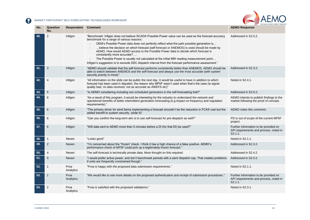

| No. | Question<br>No. | Respondent        | <b>Comment</b>                                                                                                                                                                                                                                                                                                                                                                                                                                                                                                                                                                                                                                                        | <b>AEMO Response</b>                                                                          |
|-----|-----------------|-------------------|-----------------------------------------------------------------------------------------------------------------------------------------------------------------------------------------------------------------------------------------------------------------------------------------------------------------------------------------------------------------------------------------------------------------------------------------------------------------------------------------------------------------------------------------------------------------------------------------------------------------------------------------------------------------------|-----------------------------------------------------------------------------------------------|
| 40. | 2               | Infigen           | "Benchmark: Infigen does not believe SCADA Possible Power value can be used as the forecast accuracy<br>benchmark for a range of various reasons:<br>OEM's Possible Power data does not perfectly reflect what the park possible generation is<br>believe the decision on which forecast (self-forecast or ANEMOS) is used should be made by<br>AEMO. How would AEMO access to the Possible Power data to decide which forecast is<br>consistently more accurate?<br>The Possible Power is usually not calculated at the initial MW reading measurement point<br>".Infigen's suggestion is to exclude SDC dispatch interval from the forecast performance assessment. | Addressed in S2.5.2.                                                                          |
| 41. | 3               | Infigen           | "AEMO should validate that the self-forecast performs consistently better than ANEMOS. AEMO should be<br>able to switch between ANEMOS and the self-forecast and always use the most accurate (with system<br>security priority in mind)."                                                                                                                                                                                                                                                                                                                                                                                                                            | Addressed in S2.3.2.                                                                          |
| 42. | $\overline{4}$  | Infigen           | "All information on the slide can be public the next day. It would be useful to have in addition to which<br>forecast has been used in dispatch, the reason why MP5F wasn't used when that's the case (ie signal<br>quality bad, no data received, not as accurate as AWEFS etc)"                                                                                                                                                                                                                                                                                                                                                                                     | Noted in S2.4.1.                                                                              |
| 43. | $\sqrt{5}$      | Infigen           | "Is AEMO considering including non-scheduled generators in the self-forecasting trial?"                                                                                                                                                                                                                                                                                                                                                                                                                                                                                                                                                                               | Addressed in S2.6.2.                                                                          |
| 44. | 6               | Infigen           | "As a result of this program, it would be interesting for the industry to understand the network and<br>operational benefits of better intermittent generation forecasting (e.g impact on frequency and regulation<br>requirements)."                                                                                                                                                                                                                                                                                                                                                                                                                                 | AEMO intends to publish findings to the<br>market following the proof of concept.             |
| 45. | $6\,$           | Infigen           | "The primary driver for wind farms implementing a forecast shouldn't be the reduction in FCAS cost but the<br>added benefit to system security. (slide 9)"                                                                                                                                                                                                                                                                                                                                                                                                                                                                                                            | AEMO notes this comment.                                                                      |
| 46. | 6               | Infigen           | "Can you confirm the long-term aim is to use self-forecast for pre-dispatch as well?"                                                                                                                                                                                                                                                                                                                                                                                                                                                                                                                                                                                 | PD is out of scope of the current MP5F<br>project.                                            |
| 47. | 6               | Infigen           | "Will data sent to AEMO more than 5 minutes before a DI (for that DI) be used?"                                                                                                                                                                                                                                                                                                                                                                                                                                                                                                                                                                                       | Further information to be provided on<br>API requirements and process, noted in<br>$S2.1.1$ . |
| 48. | 1               | Neoen             | "Looks good"                                                                                                                                                                                                                                                                                                                                                                                                                                                                                                                                                                                                                                                          | Noted in S2.1.1.                                                                              |
| 49. | 2               | Neoen             | "I'm concerned about the "frozen" check. I think it has a high chance of a false positive. AEMO's<br>performance check of MP5F could pick up a legitimately frozen forecast."                                                                                                                                                                                                                                                                                                                                                                                                                                                                                         | Addressed in S2.3.2.                                                                          |
| 50. | $\overline{4}$  | Neoen             | The self-forecast is technically private data. More thought on this required.                                                                                                                                                                                                                                                                                                                                                                                                                                                                                                                                                                                         | Addressed in S2.4.2.                                                                          |
| 51. | 5               | Neoen             | "I would prefer active power, and don't benchmark periods with a semi dispatch cap. That creates problems<br>if units are frequently constrained though."                                                                                                                                                                                                                                                                                                                                                                                                                                                                                                             | Addressed in S2.5.2.                                                                          |
| 52. | $\mathbf 1$     | Proa<br>Analytics | "Proa is happy with the proposed data submission requirements."                                                                                                                                                                                                                                                                                                                                                                                                                                                                                                                                                                                                       | Noted in S2.1.1.                                                                              |
| 53. | $\mathbf 1$     | Proa<br>Analytics | "We would like to see more details on the proposed authentication and receipt of submission procedures."                                                                                                                                                                                                                                                                                                                                                                                                                                                                                                                                                              | Further information to be provided on<br>API requirements and process, noted in<br>S2.1.1.    |
| 54. | 2               | Proa<br>Analytics | "Proa is satisfied with the proposed validations."                                                                                                                                                                                                                                                                                                                                                                                                                                                                                                                                                                                                                    | Noted in S2.3.1.                                                                              |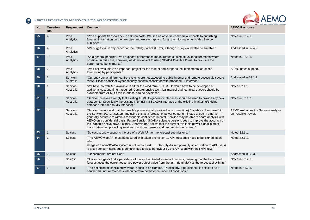

| No. | Question<br>No. | Respondent           | <b>Comment</b>                                                                                                                                                                                                                                                                                                                                                                                                                                                                                                                                                                                                                   | <b>AEMO Response</b>                                     |
|-----|-----------------|----------------------|----------------------------------------------------------------------------------------------------------------------------------------------------------------------------------------------------------------------------------------------------------------------------------------------------------------------------------------------------------------------------------------------------------------------------------------------------------------------------------------------------------------------------------------------------------------------------------------------------------------------------------|----------------------------------------------------------|
| 55. | 4               | Proa<br>Analytics    | "Proa supports transparency in self-forecasts. We see no adverse commercial impacts to publishing<br>forecast information on the next day, and we are happy to for all the information on slide 19 to be<br>published."                                                                                                                                                                                                                                                                                                                                                                                                          | Noted in S2.4.1.                                         |
| 56. | $\overline{4}$  | Proa<br>Analytics    | "We suggest a 30 day period for the Rolling Forecast Error, although 7 day would also be suitable."                                                                                                                                                                                                                                                                                                                                                                                                                                                                                                                              | Addressed in S2.4.2.                                     |
| 57. | 5               | Proa<br>Analytics    | "As a general principle, Proa supports performance measurements using actual measurements where<br>possible. In this case, however, we do not object to using SCADA Possible Power to calculate the<br>performance benchmarks."                                                                                                                                                                                                                                                                                                                                                                                                  | Noted in S2.5.1.                                         |
| 58. | 6               | Proa<br>Analytics    | "Proa believes this is an important project for the market and supports the implementation of self-<br>forecasting by participants."                                                                                                                                                                                                                                                                                                                                                                                                                                                                                             | AEMO notes support.                                      |
| 59. | 1               | Senvion<br>Australia | "Currently our wind farm control systems are not exposed to public internet and remote access via secure<br>VPNs. Please consider Cyber security aspects associated with proposed IT Interface."                                                                                                                                                                                                                                                                                                                                                                                                                                 | Addressed in S2.1.2                                      |
| 60. |                 | Senvion<br>Australia | "We have no web API available in either the wind farm SCADA. It would have to be developed at<br>additional cost and time if required. Comprehensive technical manual and technical support should be<br>available from AEMO if this interface is to be developed."                                                                                                                                                                                                                                                                                                                                                              | Noted S2.1.1.                                            |
| 61. |                 | Senvion<br>Australia | "Senvion believes strongly that existing AEMO to generator interfaces should be used to provide any new<br>data points. Specifically the existing NSP (DNP3 SCADA) interface or the existing Marketing/Bidding<br>database interface (MMS interface)."                                                                                                                                                                                                                                                                                                                                                                           | Noted in S2.1.2.                                         |
| 62. | 5               | Senvion<br>Australia | "Senvion have found that the possible power signal (provided as (current time) "capable active power" in<br>the Senvion SCADA system and using this as a forecast of power output 5 minutes ahead in time) is<br>generally accurate to within a reasonable confidence interval. Senvion may be able to share analysis with<br>AEMO on a confidential basis. Future Senvion SCADA software versions seek to improve the accuracy of<br>the "capable active power" signal. Analysis has shown that the current available power signal is most<br>inaccurate when prevailing weather conditions cause a sudden drop in wind speed." | AEMO welcomes the Senvion analysis<br>on Possible Power. |
| 63. | $\mathbf{1}$    | Solcast              | "Solcast strongly supports the use of a Web API for the forecast submissions. "                                                                                                                                                                                                                                                                                                                                                                                                                                                                                                                                                  | Noted S2.1.1.                                            |
| 64. |                 | Solcast              | "The AEMO web API must be secured with token encryption  API messages need to be 'signed' each<br>way.<br>Usage of a non-SCADA system is not without risk.  Security (based primarily on education of API users)<br>is a key concern here, but is primarily due to risky behaviour by the API users with their API keys."                                                                                                                                                                                                                                                                                                        | Noted S2.1.1.                                            |
| 65. | 3               | Solcast              | ""Benchmarks" are not clear."                                                                                                                                                                                                                                                                                                                                                                                                                                                                                                                                                                                                    | Addressed in S2.3.2                                      |
| 66. | 3               | Solcast              | "Solcast suggests that a persistence forecast be utilised for solar forecasts; meaning that the benchmark<br>forecast uses the current observed power output value from the farm (total MW) as the forecast at t+5min."                                                                                                                                                                                                                                                                                                                                                                                                          | Noted in S2.2.1.                                         |
| 67. | 3               | Solcast              | "The definition of 'consistently worse' needs to be clarified. Particularly, if persistence is selected as a<br>benchmark, not all forecasts will outperform persistence under all conditions."                                                                                                                                                                                                                                                                                                                                                                                                                                  | Noted in S2.2.1.                                         |

**The State**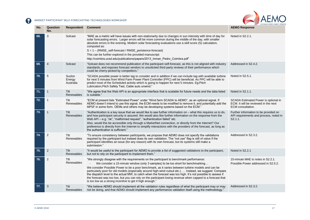

| No. | Question<br>No. | Respondent                    | <b>Comment</b>                                                                                                                                                                                                                                                                                                                                                                                                                                                                                                                                                                                                                                                                            | <b>AEMO Response</b>                                                                              |
|-----|-----------------|-------------------------------|-------------------------------------------------------------------------------------------------------------------------------------------------------------------------------------------------------------------------------------------------------------------------------------------------------------------------------------------------------------------------------------------------------------------------------------------------------------------------------------------------------------------------------------------------------------------------------------------------------------------------------------------------------------------------------------------|---------------------------------------------------------------------------------------------------|
| 68. | 3               | Solcast                       | "MAE as a metric will have issues with non-stationarity due to changes in sun intensity with time of day for<br>solar forecasting errors. Larger errors will be more common during the middle of the day, with smaller<br>absolute errors in the evening. Modern solar forecasting evaluations use a skill score (S) calculation,<br>computed as:<br>S = 1 - (RMSE_self-forecast / RMSE_peristence-forecast)<br>This can be further explored in the provided manuscript:<br>http://coimbra.ucsd.edu/publications/papers/2013_Inman_Pedro_Coimbra.pdf"                                                                                                                                     | Noted in S2.2.1.                                                                                  |
| 69. | $\overline{4}$  | Solcast                       | "Solcast does not recommend publication of the participant self-forecast, as this is not aligned with industry<br>standards, and exposes forecast vendors to unsolicited third-party reviews of their performance which<br>could be cherry-picked by competitors."                                                                                                                                                                                                                                                                                                                                                                                                                        | Addressed in S2.4.2.                                                                              |
| 70. | 5               | Suzlon<br>Energy<br>Australia | "SCADA possible power is better tag to consider and in addition if we can include tag with available turbine<br>for next 5 minutes from Wind Farm Power Plant Controller (PPC) will be beneficial. As PPC will be able to<br>predict most of the Scheduled activity which is going to happen for next 5 minutes. Eg: Pitch<br>Lubrication, Pitch Safety Test, Cable auto unwind."                                                                                                                                                                                                                                                                                                         | Noted in S2.5.1.                                                                                  |
| 71. | $\mathbf 1$     | Tilt<br>Renewables            | "We agree that the Web API is an appropriate interface that is scalable for future needs and the data listed<br>is suitable."                                                                                                                                                                                                                                                                                                                                                                                                                                                                                                                                                             | Noted in S2.1.1.                                                                                  |
| 72. | $\mathbf{1}$    | Tilt<br>Renewables            | "ECM at present lists "Estimated Power" under "Wind farm SCADA to AEMO", as an optional signal. If<br>AEMO doesn't intend to use this signal, the ECM needs to be modified to remove it, and potentially add the<br>MP5F in some form. OEMs and others may be developing systems based on the ECM."                                                                                                                                                                                                                                                                                                                                                                                       | SCADA Estimated Power is optional in<br>ECM. It will be reviewed in the next<br>ECM consultation. |
| 73. | $\mathbf 1$     | Tilt<br>Renewables            | "Authentication is a key issue that we would like to see further information on - what this requires us to do,<br>and how participant security is assured. We would also like further information on the response from the<br>Web API - e.g. "ok", "malformed request", "authentication failed" etc.<br>Also, would this be accessible only through a MarketNet connection, or directly from the Internet? Our<br>preference is directly from the Internet to simplify interactions with the providers of the forecast, as long as<br>the authentication is sufficient."                                                                                                                  | Further information to be provided on<br>API requirements and process, noted in<br>S2.1.1.        |
| 74. | $\overline{2}$  | Tilt<br>Renewables            | "To ensure consistency between participants, we propose that AEMO does not specify the validations<br>required by the participant but instead does its own validation. The "not use" flag is still of value if the<br>participant identifies an issue (for any reason) with its own forecast, but its systems still make a<br>submission."                                                                                                                                                                                                                                                                                                                                                | Addressed in S2.3.2.                                                                              |
| 75. | $\overline{2}$  | Tilt<br>Renewables            | "It would be useful to the participant for AEMO to provide a list of suggested validations to the participant,<br>but not to rely on the participant to implement them."                                                                                                                                                                                                                                                                                                                                                                                                                                                                                                                  | Noted in S2.2.1                                                                                   |
| 76. | $\overline{2}$  | Tilt<br>Renewables            | "We strongly disagree with the requirements on the participant to benchmark performance:<br>We consider a 15-minute window (only 3 samples) to be too short for benchmarking<br>We consider Possible Power to be a poor benchmark, as it varies between turbine models and can be<br>particularly poor for old models (especially around high-wind cutout etc.).  Instead, we suggest: Compare<br>the dispatch level to the actual MW, to catch when the forecast was too high. It's not possible to assess if<br>the forecast was too low, but you can rely on the participant losing revenue when capped to a forecast that<br>is too low as a strong incentive to get it high enough." | 15-minute MAE is notes in S2.2.1.<br>Possible Power addressed in S2.5.2.                          |
| 77. | 3               | Tilt<br><b>Renewables</b>     | "We believe AEMO should implement all the validation rules regardless of what the participant may or may<br>not be doing, and that AEMO should implement any performance validation itself using the methodology."                                                                                                                                                                                                                                                                                                                                                                                                                                                                        | Addressed in S2.3.2.                                                                              |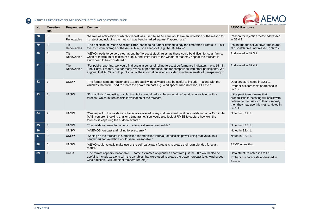

| No. | Question<br>No. | Respondent                | <b>Comment</b>                                                                                                                                                                                                                                                                                                                               | <b>AEMO Response</b>                                                                                                                                                          |
|-----|-----------------|---------------------------|----------------------------------------------------------------------------------------------------------------------------------------------------------------------------------------------------------------------------------------------------------------------------------------------------------------------------------------------|-------------------------------------------------------------------------------------------------------------------------------------------------------------------------------|
| 78. | 3               | Tilt<br>Renewables        | "As well as notification of which forecast was used by AEMO, we would like an indication of the reason for<br>its rejection, including the metric it was benchmarked against if appropriate."                                                                                                                                                | Reason for rejection metric addressed<br>in S2.4.2.                                                                                                                           |
| 79. | 3               | Tilt<br>Renewables        | "The definition of "Mean Absolute Error" needs to be further defined to say the timeframe it refers to – is it<br>the last 1-min average of the Actual MW, or a snapshot (e.g. INITIALMW)?"                                                                                                                                                  | Instantaneous active power measured<br>at dispatch time. Addressed in S2.2.2.                                                                                                 |
| 80. | 3               | Tilt<br>Renewables        | "AEMO needs to be very clear about the "forecast stuck" rules, as these could be difficult for solar farms,<br>when at maximum or minimum output, and limits local to the windfarm that may appear the forecast is<br>stuck need to be considered."                                                                                          | Addressed in S2.3.2.                                                                                                                                                          |
| 81. | $\overline{4}$  | <b>Tile</b><br>Renewables | "For public reporting: we would find useful a series of rolling forecast performance indicators – e.g. 15 min,<br>1 hr, 1 day, 1 month, etc, for ready review of performance, and for comparison with other participants. We<br>suggest that AEMO could publish all of the information listed on slide 19 in the interests of transparency." | Addressed in S2.4.2.                                                                                                                                                          |
| 82. | $\mathbf 1$     | <b>UNSW</b>               | "The format appears reasonable a probability index would also be useful to include  along with the<br>variables that were used to create the power forecast e.g. wind speed, wind direction, GHI etc."                                                                                                                                       | Data structure noted in S2.1.1.<br>Probabilistic forecasts addressed in<br>S <sub>2.1.2</sub> .                                                                               |
| 83. | $\overline{2}$  | <b>UNSW</b>               | "Probabilistic forecasting of solar irradiation would reduce the uncertainty/certainty associated with a<br>forecast, which in turn assists in validation of the forecast."                                                                                                                                                                  | If the participant deems that<br>probabilistic forecasting will assist with<br>determine the quality of their forecast,<br>then they may use this metric. Noted in<br>S2.1.1. |
| 84. | 2               | <b>UNSW</b>               | "One aspect in the validations that is also missed is any sudden event, as if only validating on a 15 minute<br>MAE, you aren't looking at a long time frame. You would also look at RMSE to capture how well the<br>forecast is capturing the sudden events."                                                                               | Noted in S2.2.1.                                                                                                                                                              |
| 85. | 3               | <b>UNSW</b>               | "The validation rules for accepting a forecast seem reasonable."                                                                                                                                                                                                                                                                             | Noted in S2.3.1.                                                                                                                                                              |
| 86. | $\overline{4}$  | <b>UNSW</b>               | "ANEMOS forecast and rolling forecast error"                                                                                                                                                                                                                                                                                                 | Noted in S2.4.1.                                                                                                                                                              |
| 87. | 5               | <b>UNSW</b>               | "Seeing as the forecast is a prediction (or prediction interval) of possible power using that value as a<br>benchmark for validation would seem reasonable.                                                                                                                                                                                  | Noted in S2.5.1.                                                                                                                                                              |
| 88. | 6               | <b>UNSW</b>               | "AEMO could actually make use of the self-participant forecasts to create their own blended forecast<br>model."                                                                                                                                                                                                                              | AEMO notes this.                                                                                                                                                              |
| 89. |                 | <b>UniSA</b>              | "The format appears reasonable  some estimates of quantiles apart from just the 50th would also be<br>useful to include  along with the variables that were used to create the power forecast (e.g. wind speed,<br>wind direction, GHI, ambient temperature etc)."                                                                           | Data structure noted in S2.1.1.<br>Probabilistic forecasts addressed in<br>S2.1.2.                                                                                            |

**COL**